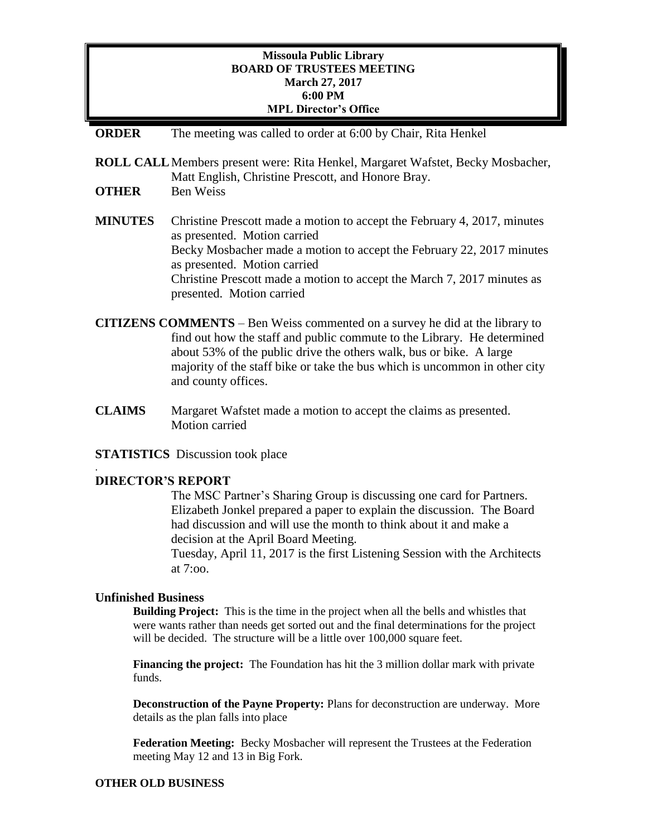## **Missoula Public Library BOARD OF TRUSTEES MEETING March 27, 2017 6:00 PM MPL Director's Office**

### **ORDER** The meeting was called to order at 6:00 by Chair, Rita Henkel

**ROLL CALL**Members present were: Rita Henkel, Margaret Wafstet, Becky Mosbacher, Matt English, Christine Prescott, and Honore Bray.

- **OTHER** Ben Weiss
- **MINUTES** Christine Prescott made a motion to accept the February 4, 2017, minutes as presented. Motion carried Becky Mosbacher made a motion to accept the February 22, 2017 minutes as presented. Motion carried Christine Prescott made a motion to accept the March 7, 2017 minutes as presented. Motion carried
- **CITIZENS COMMENTS**  Ben Weiss commented on a survey he did at the library to find out how the staff and public commute to the Library. He determined about 53% of the public drive the others walk, bus or bike. A large majority of the staff bike or take the bus which is uncommon in other city and county offices.
- **CLAIMS** Margaret Wafstet made a motion to accept the claims as presented. Motion carried

**STATISTICS** Discussion took place

### **DIRECTOR'S REPORT**

.

The MSC Partner's Sharing Group is discussing one card for Partners. Elizabeth Jonkel prepared a paper to explain the discussion. The Board had discussion and will use the month to think about it and make a decision at the April Board Meeting.

Tuesday, April 11, 2017 is the first Listening Session with the Architects at 7:oo.

### **Unfinished Business**

**Building Project:** This is the time in the project when all the bells and whistles that were wants rather than needs get sorted out and the final determinations for the project will be decided. The structure will be a little over 100,000 square feet.

**Financing the project:** The Foundation has hit the 3 million dollar mark with private funds.

**Deconstruction of the Payne Property:** Plans for deconstruction are underway. More details as the plan falls into place

**Federation Meeting:** Becky Mosbacher will represent the Trustees at the Federation meeting May 12 and 13 in Big Fork.

#### **OTHER OLD BUSINESS**